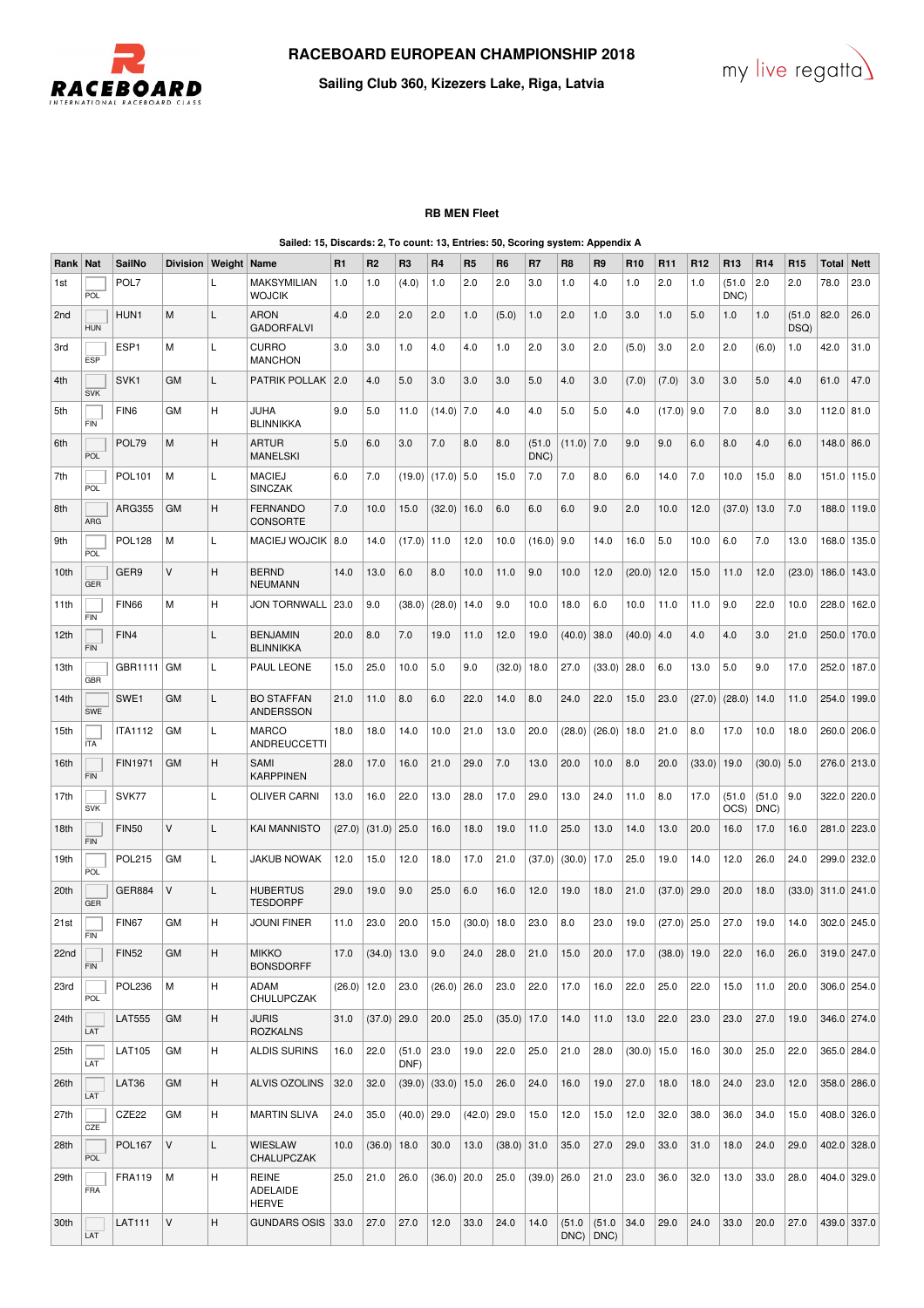

**LAT** 



**Sailing Club 360, Kizezers Lake, Riga, Latvia**

## **RB MEN Fleet**

**Sailed: 15, Discards: 2, To count: 13, Entries: 50, Scoring system: Appendix A** Rank | Nat | SailNo | Division | Weight | Name | R1 | R2 | R3 | R4 | R5 | R6 | R7 | R8 | R10 | R11 |R12 |R13 |R14 |R15 |Total | Nett  $1s$  $\frac{1}{2}$ POL7 L MAKSYMILIAN WOJCIK 1.0 1.0 (4.0) 1.0 2.0 2.0 3.0 1.0 4.0 1.0 2.0 1.0 (51.0 DNC) 2.0  $\big| 2.0 \big| 78.0 \big| 23.0 \big|$ 2nd HUN HUN1 M L ARON GADORFALVI 4.0 2.0 2.0 2.0 1.0 (5.0) 1.0 2.0 1.0 3.0 1.0 5.0 1.0 1.0 (51.0 D<sub>SQ</sub>  $82.0$  26.0 3rd ESP ESP1  $\vert M \vert$  L  $\vert$  CURRO MANCHON 3.0 3.0 1.0 4.0 4.0 1.0 2.0 3.0 2.0 (5.0) 3.0 2.0 2.0 (6.0) 1.0 42.0 31.0 4th  $\overline{\text{s}}$ vk SVK1 GM L PATRIK POLLAK 2.0 4.0 5.0 3.0 3.0 3.0 5.0 4.0 3.0 (7.0) (7.0) 3.0 3.0 5.0 4.0 61.0 47.0 5th FIN FIN6 GM H JUHA BLINNIKKA 9.0 5.0 11.0 (14.0) 7.0 4.0 4.0 5.0 5.0 4.0 (17.0) 9.0 7.0 8.0 3.0 112.0 81.0 6th  $\overline{P}$ POL79 M H ARTUR **MANELSKI** 5.0 6.0 3.0 7.0 8.0 8.0 (51.0 DNC)  $(11.0) | 7.0 | 9.0 | 9.0 | 6.0 | 8.0 | 4.0 | 6.0 | 148.0 | 86.0$ 7th POL POL101 M L MACIE. **SINCZAK** 6.0 7.0  $(19.0) (17.0) 5.0$  15.0  $15.0$  7.0 7.0 8.0 6.0 14.0 7.0 10.0 15.0 8.0 151.0 115.0 8th AR<sub>G</sub> ARG355 GM H FERNANDO **CONSORTE** 7.0 |10.0 |15.0 |(32.0)|16.0 |6.0 |6.0 |6.0 |9.0 |2.0 |10.0 |12.0 |(37.0)|13.0 |7.0 |188.0|119.0| 9th POL POL128 |M |L |MACIEJ WOJCIK |8.0 |14.0 |(17.0) |11.0 |12.0 |10.0 |(16.0) |9.0 |14.0 |16.0 |5.0 |10.0 |6.0 |7.0 |13.0 |168.0|135.0| 10th l<br>GER GER9  $|v|$   $|H|$  BERND NEUMANN 14.0 | 13.0 | 6.0 | 8.0 | 10.0 | 11.0 | 9.0 | 10.0 | 12.0 | (20.0) | 12.0 | 15.0 | 11.0 | 12.0 | (23.0) | 186.0 | 143.0 | 11th FIN FIN66 |M |H |JON TORNWALL |23.0 |9.0 |(38.0) |(28.0) |14.0 |9.0 |10.0 |18.0 |6.0 |10.0 |11.0 |11.0 |9.0 |22.0 |10.0 |228.0|162.0| 12th FIN FIN4 L BENJAMIN BLINNIKKA 20.0 8.0 7.0 19.0 11.0 12.0 19.0 (40.0) 38.0 (40.0) 4.0 4.0 4.0 3.0 21.0 250.0 170.0 13th **GBR** GBR1111 | GM | L | PAUL LEONE | 15.0 | 25.0 | 10.0 | 5.0 | 9.0 | (32.0) | 18.0 | 27.0 | (33.0) | 28.0 | 6.0 | 13.0 | 5.0 | 9.0 | 17.0 | 252.0 | 187.0 | 14th SWE SWE1 GM L BO STAFFAN ANDERSSON 21.0 |11.0 |8.0 |6.0 |22.0 |14.0 |8.0 |24.0 |22.0 |15.0 |23.0 |(27.0)|(28.0)|14.0 |11.0 |254.0|199.0| 15th ITA ITA1112 GM L MARCO ANDREUCCETTI 18.0 18.0 14.0 10.0 21.0 13.0 20.0  $(28.0) (26.0) (36.0) 18.0 21.0 8.0 17.0 10.0 18.0 206.0 206.0)$ 16th FIN FIN1971 GM H SAMI KARPPINEN 28.0 17.0 16.0 21.0 29.0 7.0 13.0 20.0 10.0 8.0 20.0 (33.0) 19.0 (30.0) 5.0 276.0 213.0 17th **SVK** SVK77 | | |L |OLIVER CARNI |13.0 |16.0 |22.0 |13.0 |28.0 |17.0 |29.0 |13.0 |24.0 |11.0 |8.0 |17.0 |(51.0 | OCS)  $(51.0)$ DNC)  $9.0$   $322.0$   $220.0$ 18th FIN FIN50 V L KAI MANNISTO (27.0) (31.0) 25.0 16.0 18.0 19.0 11.0 25.0 13.0 14.0 13.0 20.0 16.0 17.0 16.0 281.0 223.0 19th POL POL215 |GM |L |JAKUB NOWAK |12.0 |15.0 |12.0 |18.0 |17.0 |21.0 |(30.0) |17.0 |25.0 |19.0 |14.0 |12.0 |26.0 |24.0 |299.0|232.0| 20th **GEF** GER884 V L HUBERTUS **TESDORPF** 29.0 19.0 9.0 25.0 6.0 16.0 12.0 19.0 18.0 21.0 (37.0) 29.0 20.0 18.0 (33.0) 311.0 241.0 21st FIN FIN67 GM H JOUNI FINER 11.0 23.0 20.0 15.0 (30.0) 18.0 23.0 8.0 23.0 19.0 (27.0) 25.0 27.0 19.0 14.0 302.0 245.0 22nd FIN FIN52 GM H MIKKO **BONSDORFF** 17.0  $|(34.0)|13.0|$  9.0  $|24.0|$  28.0  $|21.0|15.0|$  20.0  $|17.0|$   $|(38.0)|19.0|$  22.0  $|16.0|$  26.0  $|319.0|$  247.0 23rd  $\overline{P}$ Ol POL236 M H ADAM CHULUPCZAK (26.0) 12.0 23.0  $(26.0)$  26.0  $26.0$   $26.0$   $23.0$   $22.0$   $17.0$  16.0 22.0 25.0 22.0 15.0 11.0 20.0 306.0 254.0 24th **LAT** LAT555 GM H JURIS ROZKALNS 31.0 |(37.0) |29.0 |20.0 |25.0 |(35.0) |17.0 |14.0 |11.0 |13.0 |22.0 |23.0 |23.0 |27.0 |19.0 |346.0 |274.0 | 25th LAT LAT105 GM H ALDIS SURINS 16.0 22.0 (51.0 DNF) 23.0 19.0 22.0 25.0 21.0 28.0 (30.0) 15.0 16.0 30.0 25.0 22.0 365.0 284.0 26th **LAT** LAT36 |GM |H |ALVIS OZOLINS |32.0 |32.0 |(39.0) |(33.0) |15.0 |26.0 |24.0 |16.0 |19.0 |27.0 |18.0 |18.0 |24.0 |23.0 |12.0 |358.0 |286.0 | 27th  $_{CZF}$ CZE22 |GM |H |MARTIN SLIVA |24.0 |35.0 |(40.0)|29.0 |(42.0)|29.0 |15.0 |12.0 |15.0 |12.0 |32.0 |38.0 |36.0 |34.0 |15.0 |408.0|326.0| 28th  $\overline{P}$ POL167 V L WIESLAW **CHALUPCZAK** 10.0 (36.0) 18.0 30.0 13.0 (38.0) 31.0 35.0 27.0 29.0 33.0 31.0 18.0 24.0 29.0 402.0 328.0 29th FRA FRA119  $\vert$ M  $\vert$ H REINE ADELAIDE HERVE 25.0 21.0 26.0 (36.0) 20.0 25.0 (39.0) 26.0 21.0 23.0 36.0 32.0 13.0 33.0 28.0 404.0 329.0 30th  $\frac{147111}{147111}$  V  $\frac{14}{14}$  GUNDARS OSIS 33.0 27.0 27.0 12.0 33.0 24.0 14.0 51.0  $(51.0$ 34.0 29.0 24.0 33.0 20.0 27.0 439.0 337.0

DNC)

D<sub>NC</sub>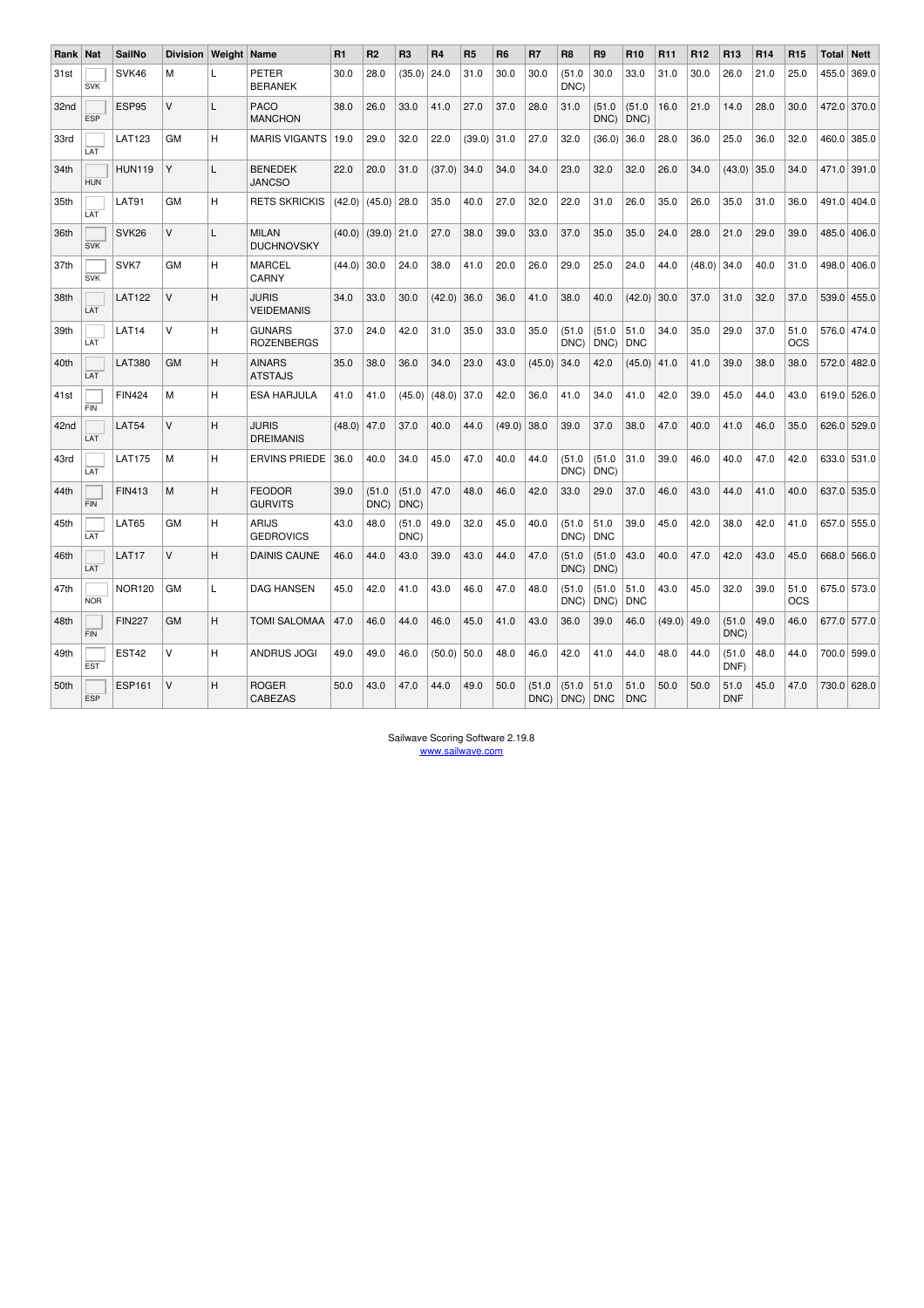| <b>Rank</b>      | Nat        | <b>SailNo</b>     | <b>Division</b> | Weight | Name                               | R1     | R <sub>2</sub> | R <sub>3</sub> | R <sub>4</sub> | R <sub>5</sub> | R <sub>6</sub> | R7            | R <sub>8</sub> | R <sub>9</sub>     | R <sub>10</sub>    | R <sub>11</sub> | R <sub>12</sub> | R <sub>13</sub>    | <b>R14</b> | <b>R15</b>         | <b>Total</b> | <b>Nett</b> |
|------------------|------------|-------------------|-----------------|--------|------------------------------------|--------|----------------|----------------|----------------|----------------|----------------|---------------|----------------|--------------------|--------------------|-----------------|-----------------|--------------------|------------|--------------------|--------------|-------------|
| 31st             | <b>SVK</b> | SVK46             | М               | L      | PETER<br><b>BERANEK</b>            | 30.0   | 28.0           | (35.0)         | 24.0           | 31.0           | 30.0           | 30.0          | (51.0<br>DNC)  | 30.0               | 33.0               | 31.0            | 30.0            | 26.0               | 21.0       | 25.0               | 455.0        | 369.0       |
| 32nd             | <b>ESP</b> | ESP95             | V               | L      | PACO<br><b>MANCHON</b>             | 38.0   | 26.0           | 33.0           | 41.0           | 27.0           | 37.0           | 28.0          | 31.0           | (51.0<br>DNC)      | (51.0<br>DNC)      | 16.0            | 21.0            | 14.0               | 28.0       | 30.0               | 472.0        | 370.0       |
| 33rd             | LAT        | <b>LAT123</b>     | GM              | H      | <b>MARIS VIGANTS</b>               | 19.0   | 29.0           | 32.0           | 22.0           | (39.0)         | 31.0           | 27.0          | 32.0           | (36.0)             | 36.0               | 28.0            | 36.0            | 25.0               | 36.0       | 32.0               | 460.0        | 385.0       |
| 34th             | <b>HUN</b> | <b>HUN119</b>     | Y               | L      | <b>BENEDEK</b><br><b>JANCSO</b>    | 22.0   | 20.0           | 31.0           | (37.0)         | 34.0           | 34.0           | 34.0          | 23.0           | 32.0               | 32.0               | 26.0            | 34.0            | (43.0)             | 35.0       | 34.0               | 471.0        | 391.0       |
| 35th             | LAT        | <b>LAT91</b>      | GM              | H      | <b>RETS SKRICKIS</b>               | (42.0) | (45.0)         | 28.0           | 35.0           | 40.0           | 27.0           | 32.0          | 22.0           | 31.0               | 26.0               | 35.0            | 26.0            | 35.0               | 31.0       | 36.0               |              | 491.0 404.0 |
| 36th             | <b>SVK</b> | SVK <sub>26</sub> | V               | L      | <b>MILAN</b><br><b>DUCHNOVSKY</b>  | (40.0) | (39.0)         | 21.0           | 27.0           | 38.0           | 39.0           | 33.0          | 37.0           | 35.0               | 35.0               | 24.0            | 28.0            | 21.0               | 29.0       | 39.0               | 485.0        | 406.0       |
| 37th             | <b>SVK</b> | SVK7              | GM              | H      | <b>MARCEL</b><br>CARNY             | (44.0) | 30.0           | 24.0           | 38.0           | 41.0           | 20.0           | 26.0          | 29.0           | 25.0               | 24.0               | 44.0            | (48.0)          | 34.0               | 40.0       | 31.0               | 498.0        | 406.0       |
| 38th             | LAT        | <b>LAT122</b>     | V               | H      | <b>JURIS</b><br><b>VEIDEMANIS</b>  | 34.0   | 33.0           | 30.0           | (42.0)         | 36.0           | 36.0           | 41.0          | 38.0           | 40.0               | (42.0)             | 30.0            | 37.0            | 31.0               | 32.0       | 37.0               | 539.0        | 455.0       |
| 39th             | LAT        | LAT <sub>14</sub> | v               | н      | <b>GUNARS</b><br><b>ROZENBERGS</b> | 37.0   | 24.0           | 42.0           | 31.0           | 35.0           | 33.0           | 35.0          | (51.0<br>DNC)  | (51.0<br>DNC)      | 51.0<br><b>DNC</b> | 34.0            | 35.0            | 29.0               | 37.0       | 51.0<br>OCS        | 576.0        | 474.0       |
| 40th             | LAT        | <b>LAT380</b>     | <b>GM</b>       | H      | <b>AINARS</b><br><b>ATSTAJS</b>    | 35.0   | 38.0           | 36.0           | 34.0           | 23.0           | 43.0           | (45.0)        | 34.0           | 42.0               | (45.0)             | 41.0            | 41.0            | 39.0               | 38.0       | 38.0               | 572.0        | 482.0       |
| 41 <sub>st</sub> | <b>FIN</b> | <b>FIN424</b>     | M               | н      | <b>ESA HARJULA</b>                 | 41.0   | 41.0           | (45.0)         | (48.0)         | 37.0           | 42.0           | 36.0          | 41.0           | 34.0               | 41.0               | 42.0            | 39.0            | 45.0               | 44.0       | 43.0               | 619.0        | 526.0       |
| 42nd             | LAT        | LAT54             | V               | H      | <b>JURIS</b><br><b>DREIMANIS</b>   | (48.0) | 47.0           | 37.0           | 40.0           | 44.0           | (49.0)         | 38.0          | 39.0           | 37.0               | 38.0               | 47.0            | 40.0            | 41.0               | 46.0       | 35.0               | 626.0        | 529.0       |
| 43rd             | LAT        | <b>LAT175</b>     | M               | H      | <b>ERVINS PRIEDE</b>               | 36.0   | 40.0           | 34.0           | 45.0           | 47.0           | 40.0           | 44.0          | (51.0<br>DNC)  | (51.0<br>DNC)      | 31.0               | 39.0            | 46.0            | 40.0               | 47.0       | 42.0               | 633.0        | 531.0       |
| 44th             | <b>FIN</b> | <b>FIN413</b>     | M               | H      | <b>FEODOR</b><br><b>GURVITS</b>    | 39.0   | (51.0<br>DNC)  | (51.0)<br>DNC) | 47.0           | 48.0           | 46.0           | 42.0          | 33.0           | 29.0               | 37.0               | 46.0            | 43.0            | 44.0               | 41.0       | 40.0               | 637.0        | 535.0       |
| 45th             | LAT        | <b>LAT65</b>      | GM              | H      | ARIJS<br><b>GEDROVICS</b>          | 43.0   | 48.0           | (51.0)<br>DNC) | 49.0           | 32.0           | 45.0           | 40.0          | (51.0<br>DNC)  | 51.0<br><b>DNC</b> | 39.0               | 45.0            | 42.0            | 38.0               | 42.0       | 41.0               |              | 657.0 555.0 |
| 46th             | LAT        | LAT17             | V               | H      | <b>DAINIS CAUNE</b>                | 46.0   | 44.0           | 43.0           | 39.0           | 43.0           | 44.0           | 47.0          | (51.0<br>DNC)  | (51.0<br>DNC)      | 43.0               | 40.0            | 47.0            | 42.0               | 43.0       | 45.0               | 668.0        | 566.0       |
| 47th             | <b>NOR</b> | <b>NOR120</b>     | GM              | L      | <b>DAG HANSEN</b>                  | 45.0   | 42.0           | 41.0           | 43.0           | 46.0           | 47.0           | 48.0          | (51.0<br>DNC)  | (51.0<br>DNC)      | 51.0<br><b>DNC</b> | 43.0            | 45.0            | 32.0               | 39.0       | 51.0<br><b>OCS</b> |              | 675.0 573.0 |
| 48th             | FIN        | <b>FIN227</b>     | <b>GM</b>       | H      | <b>TOMI SALOMAA</b>                | 47.0   | 46.0           | 44.0           | 46.0           | 45.0           | 41.0           | 43.0          | 36.0           | 39.0               | 46.0               | (49.0)          | 49.0            | (51.0<br>DNC)      | 49.0       | 46.0               |              | 677.0 577.0 |
| 49th             | <b>EST</b> | EST42             | V               | H      | ANDRUS JOGI                        | 49.0   | 49.0           | 46.0           | (50.0)         | 50.0           | 48.0           | 46.0          | 42.0           | 41.0               | 44.0               | 48.0            | 44.0            | (51.0<br>DNF)      | 48.0       | 44.0               |              | 700.0 599.0 |
| 50th             | <b>ESP</b> | <b>ESP161</b>     | V               | Н      | <b>ROGER</b><br><b>CABEZAS</b>     | 50.0   | 43.0           | 47.0           | 44.0           | 49.0           | 50.0           | (51.0<br>DNC) | (51.0<br>DNC)  | 51.0<br><b>DNC</b> | 51.0<br><b>DNC</b> | 50.0            | 50.0            | 51.0<br><b>DNF</b> | 45.0       | 47.0               | 730.0        | 628.0       |

Sailwave Scoring Software 2.19.8 www.sailwave.com